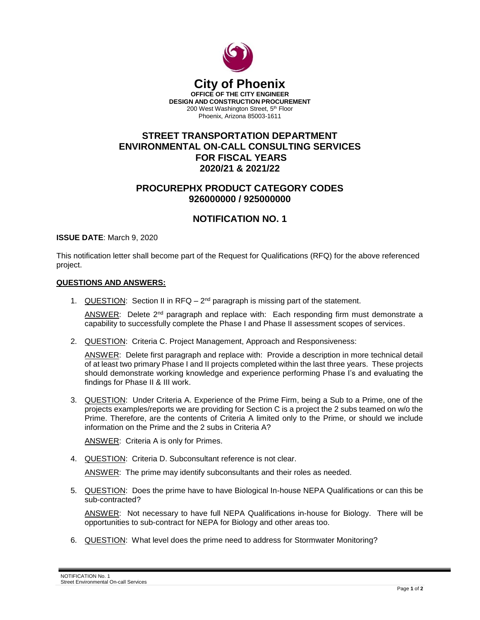

## **STREET TRANSPORTATION DEPARTMENT ENVIRONMENTAL ON-CALL CONSULTING SERVICES FOR FISCAL YEARS 2020/21 & 2021/22**

## **PROCUREPHX PRODUCT CATEGORY CODES 926000000 / 925000000**

## **NOTIFICATION NO. 1**

**ISSUE DATE**: March 9, 2020

This notification letter shall become part of the Request for Qualifications (RFQ) for the above referenced project.

## **QUESTIONS AND ANSWERS:**

1. QUESTION: Section II in RFQ  $-2^{nd}$  paragraph is missing part of the statement.

ANSWER: Delete 2<sup>nd</sup> paragraph and replace with: Each responding firm must demonstrate a capability to successfully complete the Phase I and Phase II assessment scopes of services.

2. QUESTION: Criteria C. Project Management, Approach and Responsiveness:

ANSWER: Delete first paragraph and replace with: Provide a description in more technical detail of at least two primary Phase I and II projects completed within the last three years. These projects should demonstrate working knowledge and experience performing Phase I's and evaluating the findings for Phase II & III work.

3. QUESTION: Under Criteria A. Experience of the Prime Firm, being a Sub to a Prime, one of the projects examples/reports we are providing for Section C is a project the 2 subs teamed on w/o the Prime. Therefore, are the contents of Criteria A limited only to the Prime, or should we include information on the Prime and the 2 subs in Criteria A?

ANSWER: Criteria A is only for Primes.

4. QUESTION: Criteria D. Subconsultant reference is not clear.

ANSWER: The prime may identify subconsultants and their roles as needed.

5. QUESTION: Does the prime have to have Biological In-house NEPA Qualifications or can this be sub-contracted?

ANSWER: Not necessary to have full NEPA Qualifications in-house for Biology. There will be opportunities to sub-contract for NEPA for Biology and other areas too.

6. QUESTION: What level does the prime need to address for Stormwater Monitoring?